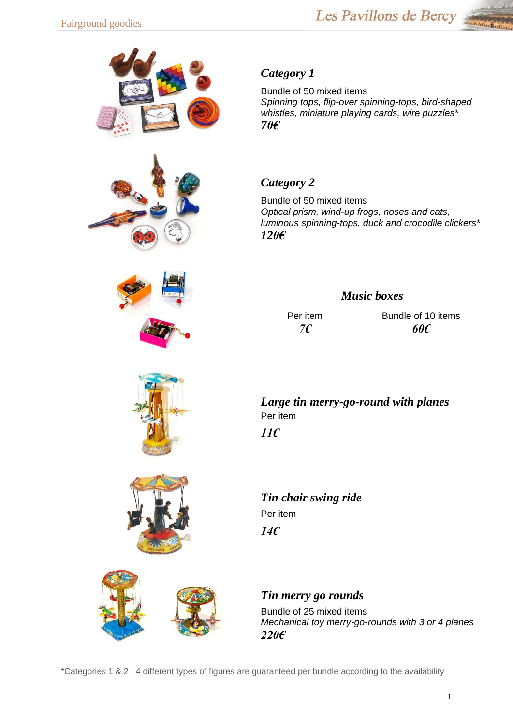









## *Category 1*

Bundle of 50 mixed items *Spinning tops, flip-over spinning-tops, bird-shaped whistles, miniature playing cards, wire puzzles\* 70€*

# *Category 2*

Bundle of 50 mixed items *Optical prism, wind-up frogs, noses and cats, luminous spinning-tops, duck and crocodile clickers\* 120€*

### *Music boxes*

Per item *7€*

Bundle of 10 items *60€*

*Large tin merry-go-round with planes*  Per item *11€*

*Tin chair swing ride*  Per item *14€*

*Tin merry go rounds*

Bundle of 25 mixed items *Mechanical toy merry-go-rounds with 3 or 4 planes 220€*

\*Categories 1 & 2 : 4 different types of figures are guaranteed per bundle according to the availability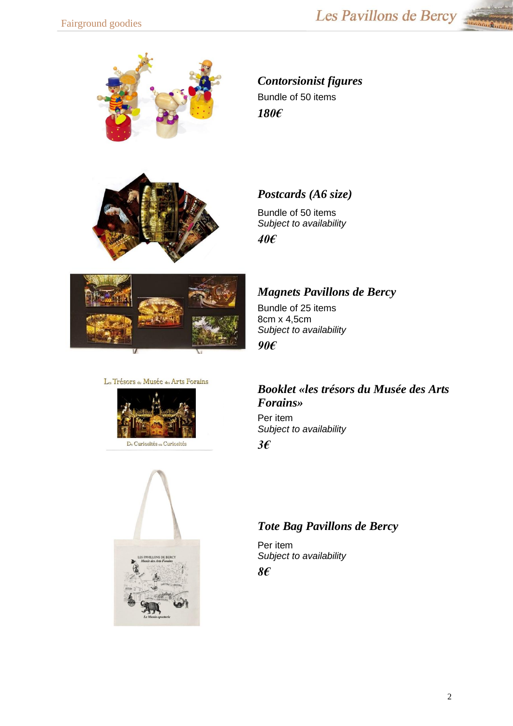



# *Contorsionist figures* Bundle of 50 items *180€*

### *Postcards (A6 size)*

Bundle of 50 items *Subject to availability 40€*



#### *Magnets Pavillons de Bercy*

Bundle of 25 items 8cm x 4,5cm *Subject to availability 90€*

#### Les Trésors du Musée des Arts Forains



# *Booklet «les trésors du Musée des Arts Forains»*

Per item *Subject to availability 3€*



#### *Tote Bag Pavillons de Bercy*

Per item *Subject to availability 8€*